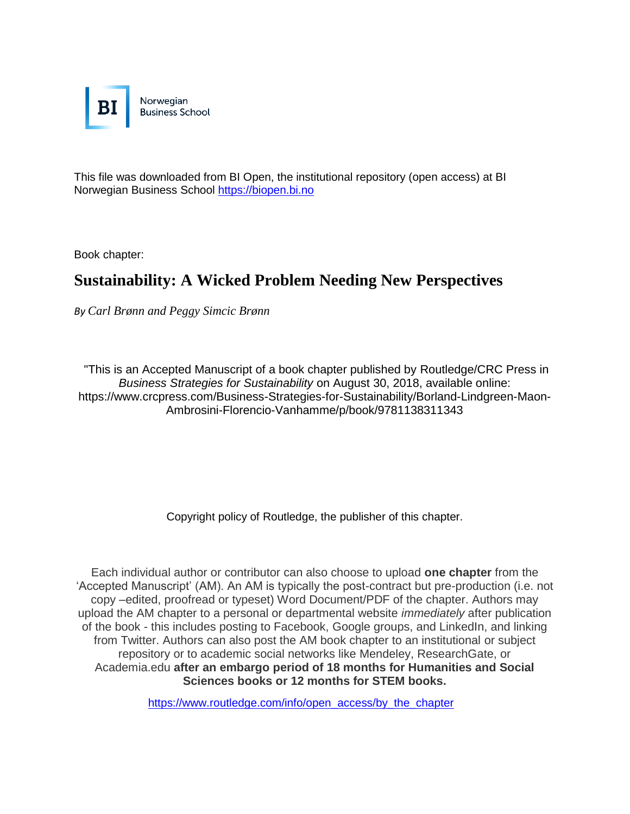

This file was downloaded from BI Open, the institutional repository (open access) at BI Norwegian Business School [https://biopen.bi.no](https://biopen.bi.no/)

Book chapter:

# **Sustainability: A Wicked Problem Needing New Perspectives**

*By Carl Brønn and Peggy Simcic Brønn*

"This is an Accepted Manuscript of a book chapter published by Routledge/CRC Press in *Business Strategies for Sustainability* on August 30, 2018, available online: https://www.crcpress.com/Business-Strategies-for-Sustainability/Borland-Lindgreen-Maon-Ambrosini-Florencio-Vanhamme/p/book/9781138311343

Copyright policy of Routledge, the publisher of this chapter.

Each individual author or contributor can also choose to upload **one chapter** from the 'Accepted Manuscript' (AM). An AM is typically the post-contract but pre-production (i.e. not copy –edited, proofread or typeset) Word Document/PDF of the chapter. Authors may upload the AM chapter to a personal or departmental website *immediately* after publication of the book - this includes posting to Facebook, Google groups, and LinkedIn, and linking from Twitter. Authors can also post the AM book chapter to an institutional or subject repository or to academic social networks like Mendeley, ResearchGate, or Academia.edu **after an embargo period of 18 months for Humanities and Social Sciences books or 12 months for STEM books.**

[https://www.routledge.com/info/open\\_access/by\\_the\\_chapter](https://www.routledge.com/info/open_access/by_the_chapter)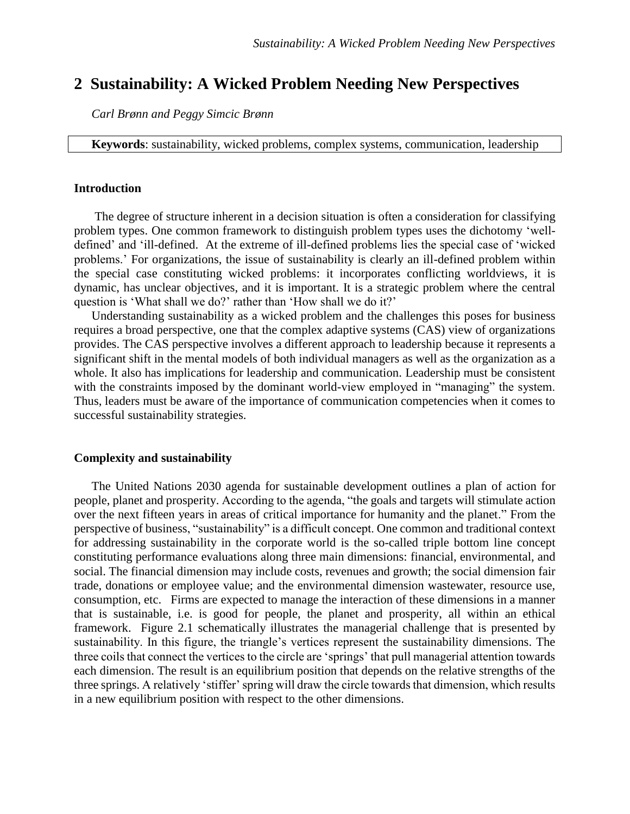# **2 Sustainability: A Wicked Problem Needing New Perspectives**

*Carl Brønn and Peggy Simcic Brønn*

**Keywords**: sustainability, wicked problems, complex systems, communication, leadership

#### **Introduction**

The degree of structure inherent in a decision situation is often a consideration for classifying problem types. One common framework to distinguish problem types uses the dichotomy 'welldefined' and 'ill-defined. At the extreme of ill-defined problems lies the special case of 'wicked problems.' For organizations, the issue of sustainability is clearly an ill-defined problem within the special case constituting wicked problems: it incorporates conflicting worldviews, it is dynamic, has unclear objectives, and it is important. It is a strategic problem where the central question is 'What shall we do?' rather than 'How shall we do it?'

Understanding sustainability as a wicked problem and the challenges this poses for business requires a broad perspective, one that the complex adaptive systems (CAS) view of organizations provides. The CAS perspective involves a different approach to leadership because it represents a significant shift in the mental models of both individual managers as well as the organization as a whole. It also has implications for leadership and communication. Leadership must be consistent with the constraints imposed by the dominant world-view employed in "managing" the system. Thus, leaders must be aware of the importance of communication competencies when it comes to successful sustainability strategies.

#### **Complexity and sustainability**

The United Nations 2030 agenda for sustainable development outlines a plan of action for people, planet and prosperity. According to the agenda, "the goals and targets will stimulate action over the next fifteen years in areas of critical importance for humanity and the planet." From the perspective of business, "sustainability" is a difficult concept. One common and traditional context for addressing sustainability in the corporate world is the so-called triple bottom line concept constituting performance evaluations along three main dimensions: financial, environmental, and social. The financial dimension may include costs, revenues and growth; the social dimension fair trade, donations or employee value; and the environmental dimension wastewater, resource use, consumption, etc. Firms are expected to manage the interaction of these dimensions in a manner that is sustainable, i.e. is good for people, the planet and prosperity, all within an ethical framework. Figure 2.1 schematically illustrates the managerial challenge that is presented by sustainability. In this figure, the triangle's vertices represent the sustainability dimensions. The three coils that connect the vertices to the circle are 'springs' that pull managerial attention towards each dimension. The result is an equilibrium position that depends on the relative strengths of the three springs. A relatively 'stiffer' spring will draw the circle towards that dimension, which results in a new equilibrium position with respect to the other dimensions.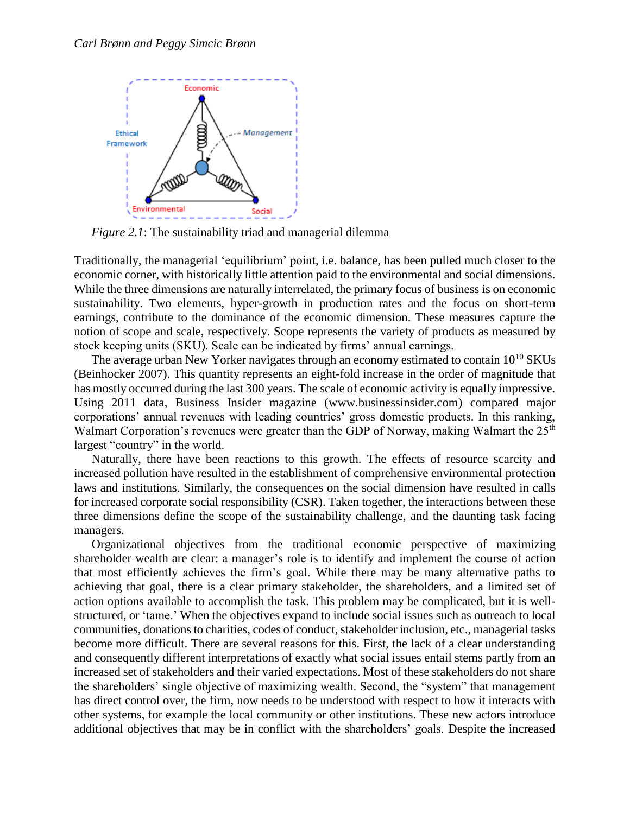

*Figure 2.1*: The sustainability triad and managerial dilemma

Traditionally, the managerial 'equilibrium' point, i.e. balance, has been pulled much closer to the economic corner, with historically little attention paid to the environmental and social dimensions. While the three dimensions are naturally interrelated, the primary focus of business is on economic sustainability. Two elements, hyper-growth in production rates and the focus on short-term earnings, contribute to the dominance of the economic dimension. These measures capture the notion of scope and scale, respectively. Scope represents the variety of products as measured by stock keeping units (SKU). Scale can be indicated by firms' annual earnings.

The average urban New Yorker navigates through an economy estimated to contain  $10^{10}$  SKUs (Beinhocker 2007). This quantity represents an eight-fold increase in the order of magnitude that has mostly occurred during the last 300 years. The scale of economic activity is equally impressive. Using 2011 data, Business Insider magazine (www.businessinsider.com) compared major corporations' annual revenues with leading countries' gross domestic products. In this ranking, Walmart Corporation's revenues were greater than the GDP of Norway, making Walmart the  $25<sup>th</sup>$ largest "country" in the world.

Naturally, there have been reactions to this growth. The effects of resource scarcity and increased pollution have resulted in the establishment of comprehensive environmental protection laws and institutions. Similarly, the consequences on the social dimension have resulted in calls for increased corporate social responsibility (CSR). Taken together, the interactions between these three dimensions define the scope of the sustainability challenge, and the daunting task facing managers.

Organizational objectives from the traditional economic perspective of maximizing shareholder wealth are clear: a manager's role is to identify and implement the course of action that most efficiently achieves the firm's goal. While there may be many alternative paths to achieving that goal, there is a clear primary stakeholder, the shareholders, and a limited set of action options available to accomplish the task. This problem may be complicated, but it is wellstructured, or 'tame.' When the objectives expand to include social issues such as outreach to local communities, donations to charities, codes of conduct, stakeholder inclusion, etc., managerial tasks become more difficult. There are several reasons for this. First, the lack of a clear understanding and consequently different interpretations of exactly what social issues entail stems partly from an increased set of stakeholders and their varied expectations. Most of these stakeholders do not share the shareholders' single objective of maximizing wealth. Second, the "system" that management has direct control over, the firm, now needs to be understood with respect to how it interacts with other systems, for example the local community or other institutions. These new actors introduce additional objectives that may be in conflict with the shareholders' goals. Despite the increased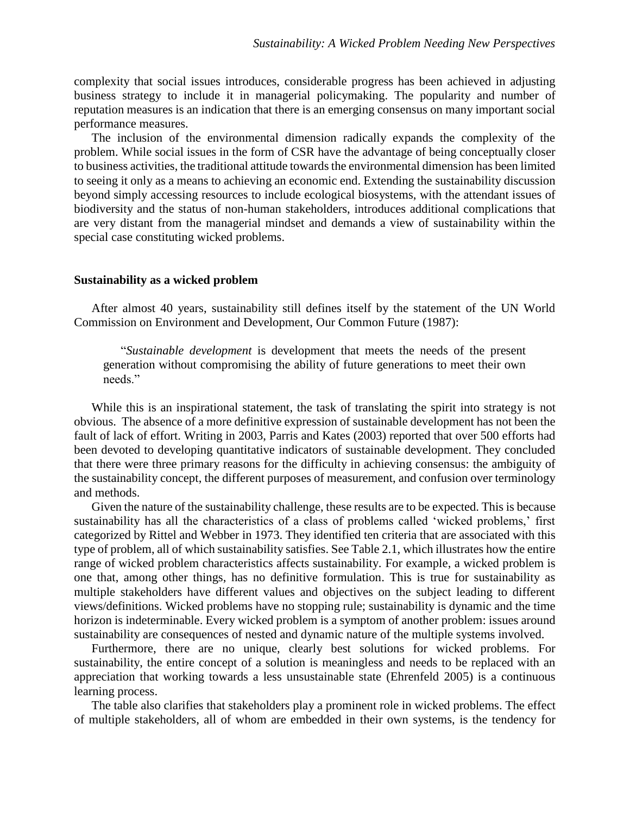complexity that social issues introduces, considerable progress has been achieved in adjusting business strategy to include it in managerial policymaking. The popularity and number of reputation measures is an indication that there is an emerging consensus on many important social performance measures.

The inclusion of the environmental dimension radically expands the complexity of the problem. While social issues in the form of CSR have the advantage of being conceptually closer to business activities, the traditional attitude towards the environmental dimension has been limited to seeing it only as a means to achieving an economic end. Extending the sustainability discussion beyond simply accessing resources to include ecological biosystems, with the attendant issues of biodiversity and the status of non-human stakeholders, introduces additional complications that are very distant from the managerial mindset and demands a view of sustainability within the special case constituting wicked problems.

#### **Sustainability as a wicked problem**

After almost 40 years, sustainability still defines itself by the statement of the UN World Commission on Environment and Development, Our Common Future (1987):

"*Sustainable development* is development that meets the needs of the present generation without compromising the ability of future generations to meet their own needs."

While this is an inspirational statement, the task of translating the spirit into strategy is not obvious. The absence of a more definitive expression of sustainable development has not been the fault of lack of effort. Writing in 2003, Parris and Kates (2003) reported that over 500 efforts had been devoted to developing quantitative indicators of sustainable development. They concluded that there were three primary reasons for the difficulty in achieving consensus: the ambiguity of the sustainability concept, the different purposes of measurement, and confusion over terminology and methods.

Given the nature of the sustainability challenge, these results are to be expected. This is because sustainability has all the characteristics of a class of problems called 'wicked problems,' first categorized by Rittel and Webber in 1973. They identified ten criteria that are associated with this type of problem, all of which sustainability satisfies. See Table 2.1, which illustrates how the entire range of wicked problem characteristics affects sustainability. For example, a wicked problem is one that, among other things, has no definitive formulation. This is true for sustainability as multiple stakeholders have different values and objectives on the subject leading to different views/definitions. Wicked problems have no stopping rule; sustainability is dynamic and the time horizon is indeterminable. Every wicked problem is a symptom of another problem: issues around sustainability are consequences of nested and dynamic nature of the multiple systems involved.

Furthermore, there are no unique, clearly best solutions for wicked problems. For sustainability, the entire concept of a solution is meaningless and needs to be replaced with an appreciation that working towards a less unsustainable state (Ehrenfeld 2005) is a continuous learning process.

The table also clarifies that stakeholders play a prominent role in wicked problems. The effect of multiple stakeholders, all of whom are embedded in their own systems, is the tendency for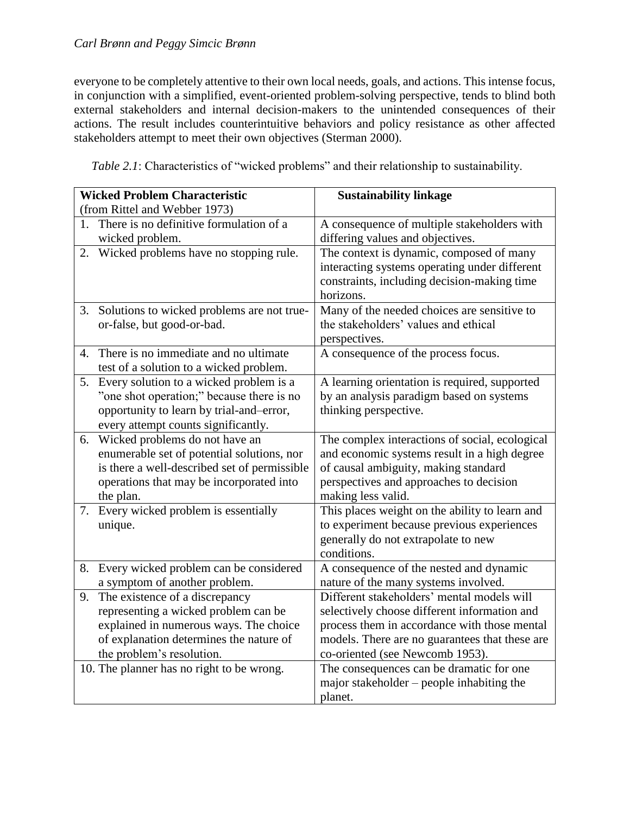everyone to be completely attentive to their own local needs, goals, and actions. This intense focus, in conjunction with a simplified, event-oriented problem-solving perspective, tends to blind both external stakeholders and internal decision-makers to the unintended consequences of their actions. The result includes counterintuitive behaviors and policy resistance as other affected stakeholders attempt to meet their own objectives (Sterman 2000).

| <b>Wicked Problem Characteristic</b>                                                                                                                                                                                                        | <b>Sustainability linkage</b>                                                                                                                                                                                                                                               |
|---------------------------------------------------------------------------------------------------------------------------------------------------------------------------------------------------------------------------------------------|-----------------------------------------------------------------------------------------------------------------------------------------------------------------------------------------------------------------------------------------------------------------------------|
| (from Rittel and Webber 1973)                                                                                                                                                                                                               |                                                                                                                                                                                                                                                                             |
| There is no definitive formulation of a<br>1.<br>wicked problem.                                                                                                                                                                            | A consequence of multiple stakeholders with<br>differing values and objectives.                                                                                                                                                                                             |
| Wicked problems have no stopping rule.<br>2.                                                                                                                                                                                                | The context is dynamic, composed of many<br>interacting systems operating under different<br>constraints, including decision-making time<br>horizons.                                                                                                                       |
| 3. Solutions to wicked problems are not true-<br>or-false, but good-or-bad.                                                                                                                                                                 | Many of the needed choices are sensitive to<br>the stakeholders' values and ethical<br>perspectives.                                                                                                                                                                        |
| There is no immediate and no ultimate<br>$4_{\cdot}$<br>test of a solution to a wicked problem.                                                                                                                                             | A consequence of the process focus.                                                                                                                                                                                                                                         |
| Every solution to a wicked problem is a<br>5.<br>"one shot operation;" because there is no<br>opportunity to learn by trial-and-error,<br>every attempt counts significantly.                                                               | A learning orientation is required, supported<br>by an analysis paradigm based on systems<br>thinking perspective.                                                                                                                                                          |
| Wicked problems do not have an<br>6.<br>enumerable set of potential solutions, nor<br>is there a well-described set of permissible<br>operations that may be incorporated into<br>the plan.                                                 | The complex interactions of social, ecological<br>and economic systems result in a high degree<br>of causal ambiguity, making standard<br>perspectives and approaches to decision<br>making less valid.                                                                     |
| 7. Every wicked problem is essentially<br>unique.                                                                                                                                                                                           | This places weight on the ability to learn and<br>to experiment because previous experiences<br>generally do not extrapolate to new<br>conditions.                                                                                                                          |
| Every wicked problem can be considered<br>8.<br>a symptom of another problem.                                                                                                                                                               | A consequence of the nested and dynamic<br>nature of the many systems involved.                                                                                                                                                                                             |
| The existence of a discrepancy<br>9.<br>representing a wicked problem can be<br>explained in numerous ways. The choice<br>of explanation determines the nature of<br>the problem's resolution.<br>10. The planner has no right to be wrong. | Different stakeholders' mental models will<br>selectively choose different information and<br>process them in accordance with those mental<br>models. There are no guarantees that these are<br>co-oriented (see Newcomb 1953).<br>The consequences can be dramatic for one |
|                                                                                                                                                                                                                                             | major stakeholder – people inhabiting the<br>planet.                                                                                                                                                                                                                        |

*Table 2.1*: Characteristics of "wicked problems" and their relationship to sustainability.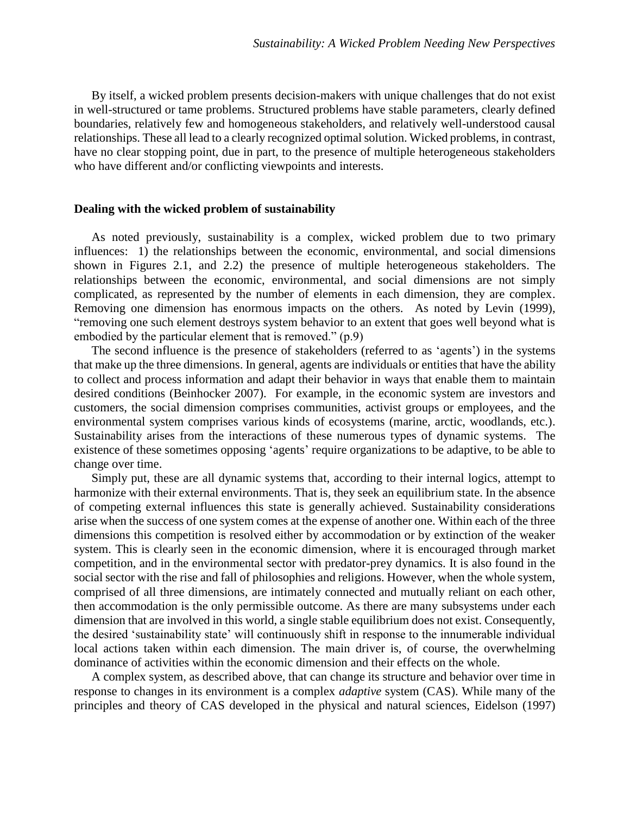By itself, a wicked problem presents decision-makers with unique challenges that do not exist in well-structured or tame problems. Structured problems have stable parameters, clearly defined boundaries, relatively few and homogeneous stakeholders, and relatively well-understood causal relationships. These all lead to a clearly recognized optimal solution. Wicked problems, in contrast, have no clear stopping point, due in part, to the presence of multiple heterogeneous stakeholders who have different and/or conflicting viewpoints and interests.

#### **Dealing with the wicked problem of sustainability**

As noted previously, sustainability is a complex, wicked problem due to two primary influences: 1) the relationships between the economic, environmental, and social dimensions shown in Figures 2.1, and 2.2) the presence of multiple heterogeneous stakeholders. The relationships between the economic, environmental, and social dimensions are not simply complicated, as represented by the number of elements in each dimension, they are complex. Removing one dimension has enormous impacts on the others. As noted by Levin (1999), "removing one such element destroys system behavior to an extent that goes well beyond what is embodied by the particular element that is removed." (p.9)

The second influence is the presence of stakeholders (referred to as 'agents') in the systems that make up the three dimensions. In general, agents are individuals or entities that have the ability to collect and process information and adapt their behavior in ways that enable them to maintain desired conditions (Beinhocker 2007). For example, in the economic system are investors and customers, the social dimension comprises communities, activist groups or employees, and the environmental system comprises various kinds of ecosystems (marine, arctic, woodlands, etc.). Sustainability arises from the interactions of these numerous types of dynamic systems. The existence of these sometimes opposing 'agents' require organizations to be adaptive, to be able to change over time.

Simply put, these are all dynamic systems that, according to their internal logics, attempt to harmonize with their external environments. That is, they seek an equilibrium state. In the absence of competing external influences this state is generally achieved. Sustainability considerations arise when the success of one system comes at the expense of another one. Within each of the three dimensions this competition is resolved either by accommodation or by extinction of the weaker system. This is clearly seen in the economic dimension, where it is encouraged through market competition, and in the environmental sector with predator-prey dynamics. It is also found in the social sector with the rise and fall of philosophies and religions. However, when the whole system, comprised of all three dimensions, are intimately connected and mutually reliant on each other, then accommodation is the only permissible outcome. As there are many subsystems under each dimension that are involved in this world, a single stable equilibrium does not exist. Consequently, the desired 'sustainability state' will continuously shift in response to the innumerable individual local actions taken within each dimension. The main driver is, of course, the overwhelming dominance of activities within the economic dimension and their effects on the whole.

A complex system, as described above, that can change its structure and behavior over time in response to changes in its environment is a complex *adaptive* system (CAS). While many of the principles and theory of CAS developed in the physical and natural sciences, Eidelson (1997)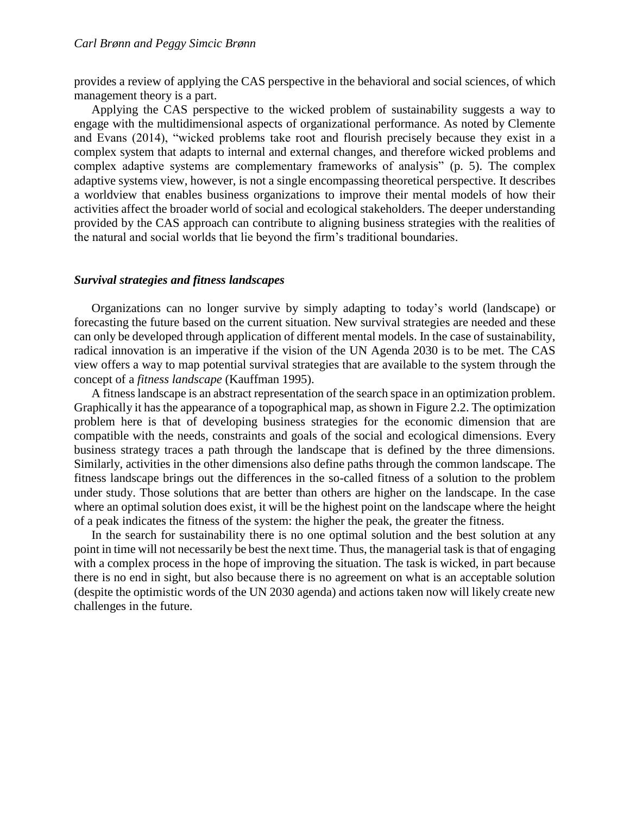provides a review of applying the CAS perspective in the behavioral and social sciences, of which management theory is a part.

Applying the CAS perspective to the wicked problem of sustainability suggests a way to engage with the multidimensional aspects of organizational performance. As noted by Clemente and Evans (2014), "wicked problems take root and flourish precisely because they exist in a complex system that adapts to internal and external changes, and therefore wicked problems and complex adaptive systems are complementary frameworks of analysis" (p. 5). The complex adaptive systems view, however, is not a single encompassing theoretical perspective. It describes a worldview that enables business organizations to improve their mental models of how their activities affect the broader world of social and ecological stakeholders. The deeper understanding provided by the CAS approach can contribute to aligning business strategies with the realities of the natural and social worlds that lie beyond the firm's traditional boundaries.

#### *Survival strategies and fitness landscapes*

Organizations can no longer survive by simply adapting to today's world (landscape) or forecasting the future based on the current situation. New survival strategies are needed and these can only be developed through application of different mental models. In the case of sustainability, radical innovation is an imperative if the vision of the UN Agenda 2030 is to be met. The CAS view offers a way to map potential survival strategies that are available to the system through the concept of a *fitness landscape* (Kauffman 1995).

A fitness landscape is an abstract representation of the search space in an optimization problem. Graphically it has the appearance of a topographical map, as shown in Figure 2.2. The optimization problem here is that of developing business strategies for the economic dimension that are compatible with the needs, constraints and goals of the social and ecological dimensions. Every business strategy traces a path through the landscape that is defined by the three dimensions. Similarly, activities in the other dimensions also define paths through the common landscape. The fitness landscape brings out the differences in the so-called fitness of a solution to the problem under study. Those solutions that are better than others are higher on the landscape. In the case where an optimal solution does exist, it will be the highest point on the landscape where the height of a peak indicates the fitness of the system: the higher the peak, the greater the fitness.

In the search for sustainability there is no one optimal solution and the best solution at any point in time will not necessarily be best the next time. Thus, the managerial task is that of engaging with a complex process in the hope of improving the situation. The task is wicked, in part because there is no end in sight, but also because there is no agreement on what is an acceptable solution (despite the optimistic words of the UN 2030 agenda) and actions taken now will likely create new challenges in the future.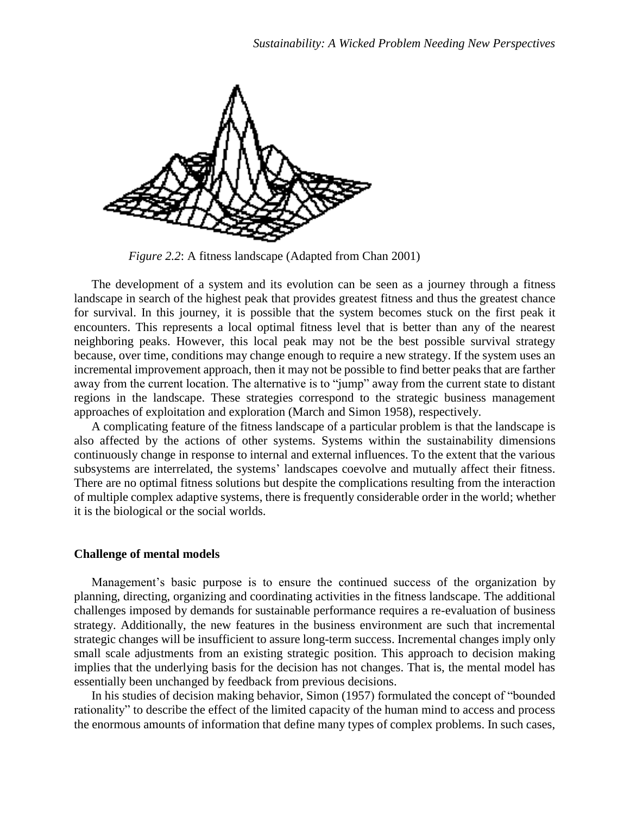

*Figure 2.2*: A fitness landscape (Adapted from Chan 2001)

The development of a system and its evolution can be seen as a journey through a fitness landscape in search of the highest peak that provides greatest fitness and thus the greatest chance for survival. In this journey, it is possible that the system becomes stuck on the first peak it encounters. This represents a local optimal fitness level that is better than any of the nearest neighboring peaks. However, this local peak may not be the best possible survival strategy because, over time, conditions may change enough to require a new strategy. If the system uses an incremental improvement approach, then it may not be possible to find better peaks that are farther away from the current location. The alternative is to "jump" away from the current state to distant regions in the landscape. These strategies correspond to the strategic business management approaches of exploitation and exploration (March and Simon 1958), respectively.

A complicating feature of the fitness landscape of a particular problem is that the landscape is also affected by the actions of other systems. Systems within the sustainability dimensions continuously change in response to internal and external influences. To the extent that the various subsystems are interrelated, the systems' landscapes coevolve and mutually affect their fitness. There are no optimal fitness solutions but despite the complications resulting from the interaction of multiple complex adaptive systems, there is frequently considerable order in the world; whether it is the biological or the social worlds.

#### **Challenge of mental models**

Management's basic purpose is to ensure the continued success of the organization by planning, directing, organizing and coordinating activities in the fitness landscape. The additional challenges imposed by demands for sustainable performance requires a re-evaluation of business strategy. Additionally, the new features in the business environment are such that incremental strategic changes will be insufficient to assure long-term success. Incremental changes imply only small scale adjustments from an existing strategic position. This approach to decision making implies that the underlying basis for the decision has not changes. That is, the mental model has essentially been unchanged by feedback from previous decisions.

In his studies of decision making behavior, Simon (1957) formulated the concept of "bounded rationality" to describe the effect of the limited capacity of the human mind to access and process the enormous amounts of information that define many types of complex problems. In such cases,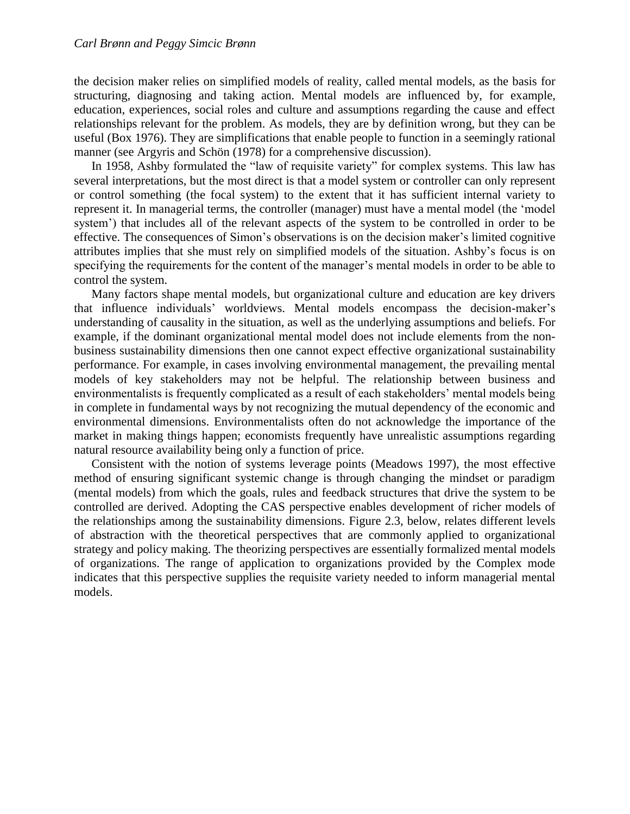the decision maker relies on simplified models of reality, called mental models, as the basis for structuring, diagnosing and taking action. Mental models are influenced by, for example, education, experiences, social roles and culture and assumptions regarding the cause and effect relationships relevant for the problem. As models, they are by definition wrong, but they can be useful (Box 1976). They are simplifications that enable people to function in a seemingly rational manner (see Argyris and Schön (1978) for a comprehensive discussion).

In 1958, Ashby formulated the "law of requisite variety" for complex systems. This law has several interpretations, but the most direct is that a model system or controller can only represent or control something (the focal system) to the extent that it has sufficient internal variety to represent it. In managerial terms, the controller (manager) must have a mental model (the 'model system') that includes all of the relevant aspects of the system to be controlled in order to be effective. The consequences of Simon's observations is on the decision maker's limited cognitive attributes implies that she must rely on simplified models of the situation. Ashby's focus is on specifying the requirements for the content of the manager's mental models in order to be able to control the system.

Many factors shape mental models, but organizational culture and education are key drivers that influence individuals' worldviews. Mental models encompass the decision-maker's understanding of causality in the situation, as well as the underlying assumptions and beliefs. For example, if the dominant organizational mental model does not include elements from the nonbusiness sustainability dimensions then one cannot expect effective organizational sustainability performance. For example, in cases involving environmental management, the prevailing mental models of key stakeholders may not be helpful. The relationship between business and environmentalists is frequently complicated as a result of each stakeholders' mental models being in complete in fundamental ways by not recognizing the mutual dependency of the economic and environmental dimensions. Environmentalists often do not acknowledge the importance of the market in making things happen; economists frequently have unrealistic assumptions regarding natural resource availability being only a function of price.

Consistent with the notion of systems leverage points (Meadows 1997), the most effective method of ensuring significant systemic change is through changing the mindset or paradigm (mental models) from which the goals, rules and feedback structures that drive the system to be controlled are derived. Adopting the CAS perspective enables development of richer models of the relationships among the sustainability dimensions. Figure 2.3, below, relates different levels of abstraction with the theoretical perspectives that are commonly applied to organizational strategy and policy making. The theorizing perspectives are essentially formalized mental models of organizations. The range of application to organizations provided by the Complex mode indicates that this perspective supplies the requisite variety needed to inform managerial mental models.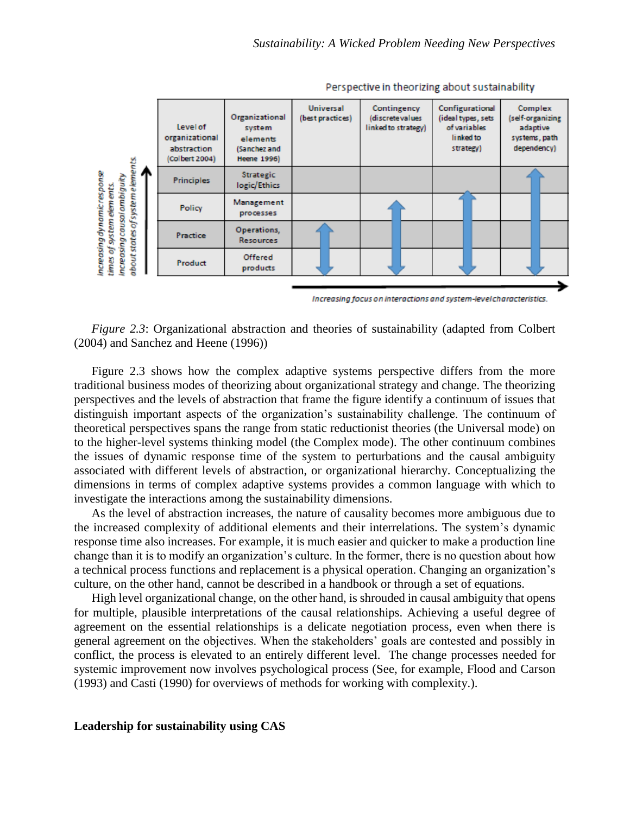

Perspective in theorizing about sustainability

Increasing focus on interactions and system-level characteristics.

*Figure 2.3*: Organizational abstraction and theories of sustainability (adapted from Colbert (2004) and Sanchez and Heene (1996))

Figure 2.3 shows how the complex adaptive systems perspective differs from the more traditional business modes of theorizing about organizational strategy and change. The theorizing perspectives and the levels of abstraction that frame the figure identify a continuum of issues that distinguish important aspects of the organization's sustainability challenge. The continuum of theoretical perspectives spans the range from static reductionist theories (the Universal mode) on to the higher-level systems thinking model (the Complex mode). The other continuum combines the issues of dynamic response time of the system to perturbations and the causal ambiguity associated with different levels of abstraction, or organizational hierarchy. Conceptualizing the dimensions in terms of complex adaptive systems provides a common language with which to investigate the interactions among the sustainability dimensions.

As the level of abstraction increases, the nature of causality becomes more ambiguous due to the increased complexity of additional elements and their interrelations. The system's dynamic response time also increases. For example, it is much easier and quicker to make a production line change than it is to modify an organization's culture. In the former, there is no question about how a technical process functions and replacement is a physical operation. Changing an organization's culture, on the other hand, cannot be described in a handbook or through a set of equations.

High level organizational change, on the other hand, is shrouded in causal ambiguity that opens for multiple, plausible interpretations of the causal relationships. Achieving a useful degree of agreement on the essential relationships is a delicate negotiation process, even when there is general agreement on the objectives. When the stakeholders' goals are contested and possibly in conflict, the process is elevated to an entirely different level. The change processes needed for systemic improvement now involves psychological process (See, for example, Flood and Carson (1993) and Casti (1990) for overviews of methods for working with complexity.).

### **Leadership for sustainability using CAS**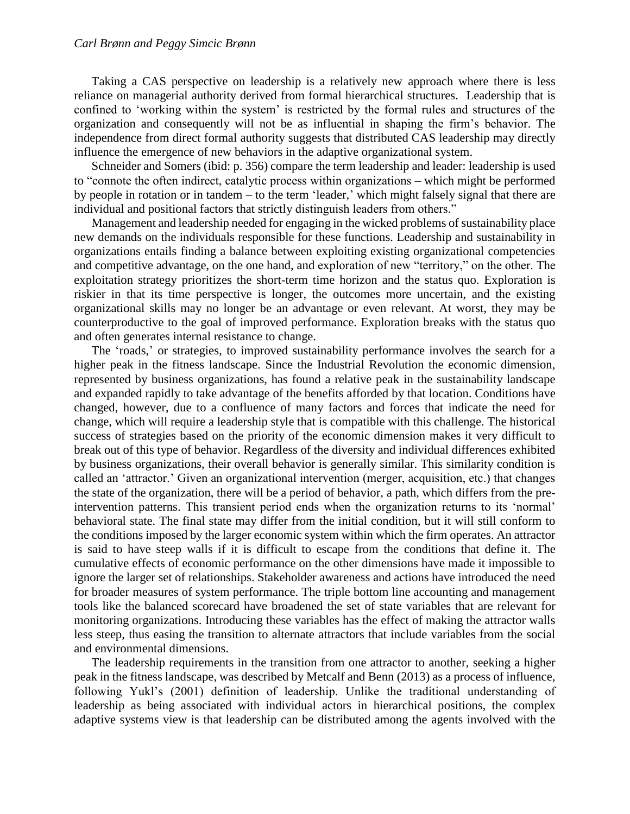#### *Carl Brønn and Peggy Simcic Brønn*

Taking a CAS perspective on leadership is a relatively new approach where there is less reliance on managerial authority derived from formal hierarchical structures. Leadership that is confined to 'working within the system' is restricted by the formal rules and structures of the organization and consequently will not be as influential in shaping the firm's behavior. The independence from direct formal authority suggests that distributed CAS leadership may directly influence the emergence of new behaviors in the adaptive organizational system.

Schneider and Somers (ibid: p. 356) compare the term leadership and leader: leadership is used to "connote the often indirect, catalytic process within organizations – which might be performed by people in rotation or in tandem – to the term 'leader,' which might falsely signal that there are individual and positional factors that strictly distinguish leaders from others."

Management and leadership needed for engaging in the wicked problems of sustainability place new demands on the individuals responsible for these functions. Leadership and sustainability in organizations entails finding a balance between exploiting existing organizational competencies and competitive advantage, on the one hand, and exploration of new "territory," on the other. The exploitation strategy prioritizes the short-term time horizon and the status quo. Exploration is riskier in that its time perspective is longer, the outcomes more uncertain, and the existing organizational skills may no longer be an advantage or even relevant. At worst, they may be counterproductive to the goal of improved performance. Exploration breaks with the status quo and often generates internal resistance to change.

The 'roads,' or strategies, to improved sustainability performance involves the search for a higher peak in the fitness landscape. Since the Industrial Revolution the economic dimension, represented by business organizations, has found a relative peak in the sustainability landscape and expanded rapidly to take advantage of the benefits afforded by that location. Conditions have changed, however, due to a confluence of many factors and forces that indicate the need for change, which will require a leadership style that is compatible with this challenge. The historical success of strategies based on the priority of the economic dimension makes it very difficult to break out of this type of behavior. Regardless of the diversity and individual differences exhibited by business organizations, their overall behavior is generally similar. This similarity condition is called an 'attractor.' Given an organizational intervention (merger, acquisition, etc.) that changes the state of the organization, there will be a period of behavior, a path, which differs from the preintervention patterns. This transient period ends when the organization returns to its 'normal' behavioral state. The final state may differ from the initial condition, but it will still conform to the conditions imposed by the larger economic system within which the firm operates. An attractor is said to have steep walls if it is difficult to escape from the conditions that define it. The cumulative effects of economic performance on the other dimensions have made it impossible to ignore the larger set of relationships. Stakeholder awareness and actions have introduced the need for broader measures of system performance. The triple bottom line accounting and management tools like the balanced scorecard have broadened the set of state variables that are relevant for monitoring organizations. Introducing these variables has the effect of making the attractor walls less steep, thus easing the transition to alternate attractors that include variables from the social and environmental dimensions.

The leadership requirements in the transition from one attractor to another, seeking a higher peak in the fitness landscape, was described by Metcalf and Benn (2013) as a process of influence, following Yukl's (2001) definition of leadership. Unlike the traditional understanding of leadership as being associated with individual actors in hierarchical positions, the complex adaptive systems view is that leadership can be distributed among the agents involved with the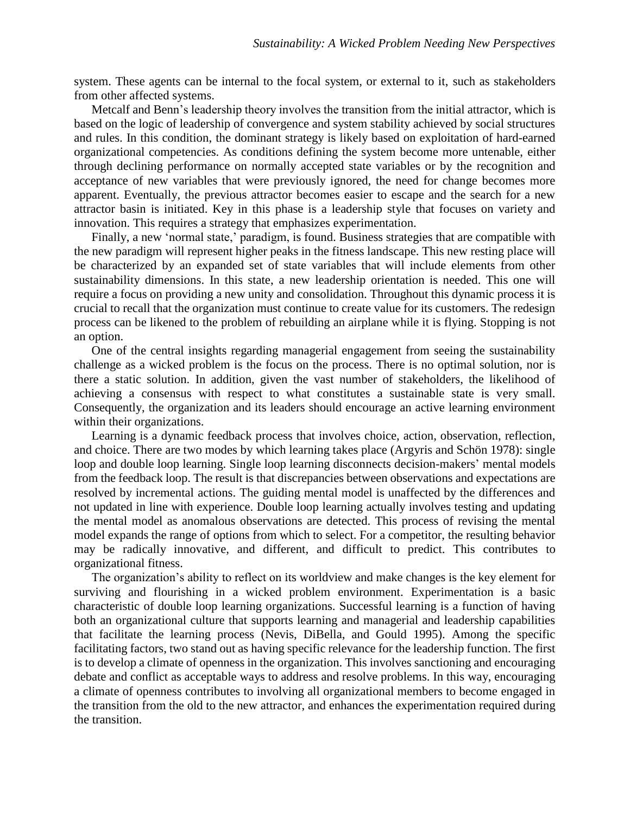system. These agents can be internal to the focal system, or external to it, such as stakeholders from other affected systems.

Metcalf and Benn's leadership theory involves the transition from the initial attractor, which is based on the logic of leadership of convergence and system stability achieved by social structures and rules. In this condition, the dominant strategy is likely based on exploitation of hard-earned organizational competencies. As conditions defining the system become more untenable, either through declining performance on normally accepted state variables or by the recognition and acceptance of new variables that were previously ignored, the need for change becomes more apparent. Eventually, the previous attractor becomes easier to escape and the search for a new attractor basin is initiated. Key in this phase is a leadership style that focuses on variety and innovation. This requires a strategy that emphasizes experimentation.

Finally, a new 'normal state,' paradigm, is found. Business strategies that are compatible with the new paradigm will represent higher peaks in the fitness landscape. This new resting place will be characterized by an expanded set of state variables that will include elements from other sustainability dimensions. In this state, a new leadership orientation is needed. This one will require a focus on providing a new unity and consolidation. Throughout this dynamic process it is crucial to recall that the organization must continue to create value for its customers. The redesign process can be likened to the problem of rebuilding an airplane while it is flying. Stopping is not an option.

One of the central insights regarding managerial engagement from seeing the sustainability challenge as a wicked problem is the focus on the process. There is no optimal solution, nor is there a static solution. In addition, given the vast number of stakeholders, the likelihood of achieving a consensus with respect to what constitutes a sustainable state is very small. Consequently, the organization and its leaders should encourage an active learning environment within their organizations.

Learning is a dynamic feedback process that involves choice, action, observation, reflection, and choice. There are two modes by which learning takes place (Argyris and Schön 1978): single loop and double loop learning. Single loop learning disconnects decision-makers' mental models from the feedback loop. The result is that discrepancies between observations and expectations are resolved by incremental actions. The guiding mental model is unaffected by the differences and not updated in line with experience. Double loop learning actually involves testing and updating the mental model as anomalous observations are detected. This process of revising the mental model expands the range of options from which to select. For a competitor, the resulting behavior may be radically innovative, and different, and difficult to predict. This contributes to organizational fitness.

The organization's ability to reflect on its worldview and make changes is the key element for surviving and flourishing in a wicked problem environment. Experimentation is a basic characteristic of double loop learning organizations. Successful learning is a function of having both an organizational culture that supports learning and managerial and leadership capabilities that facilitate the learning process (Nevis, DiBella, and Gould 1995). Among the specific facilitating factors, two stand out as having specific relevance for the leadership function. The first is to develop a climate of openness in the organization. This involves sanctioning and encouraging debate and conflict as acceptable ways to address and resolve problems. In this way, encouraging a climate of openness contributes to involving all organizational members to become engaged in the transition from the old to the new attractor, and enhances the experimentation required during the transition.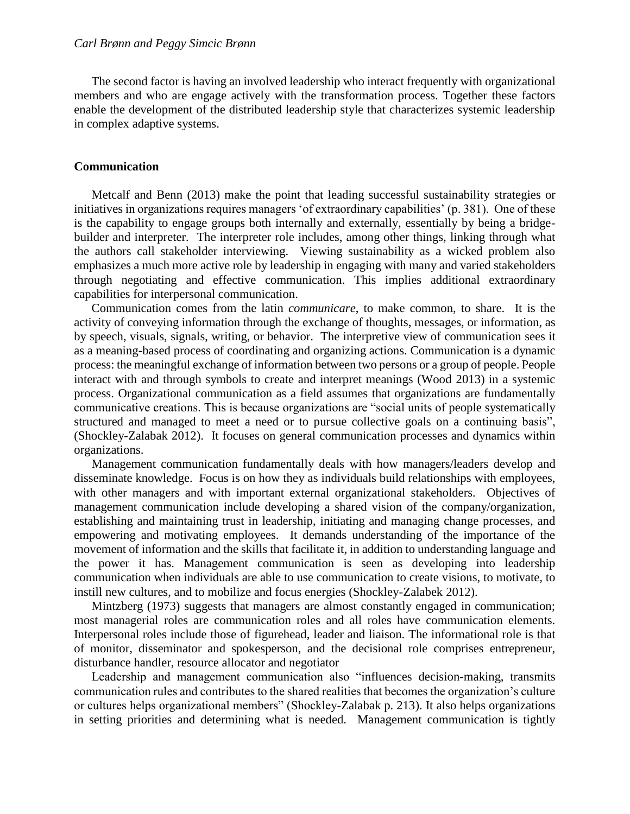The second factor is having an involved leadership who interact frequently with organizational members and who are engage actively with the transformation process. Together these factors enable the development of the distributed leadership style that characterizes systemic leadership in complex adaptive systems.

#### **Communication**

Metcalf and Benn (2013) make the point that leading successful sustainability strategies or initiatives in organizations requires managers 'of extraordinary capabilities' (p. 381). One of these is the capability to engage groups both internally and externally, essentially by being a bridgebuilder and interpreter. The interpreter role includes, among other things, linking through what the authors call stakeholder interviewing. Viewing sustainability as a wicked problem also emphasizes a much more active role by leadership in engaging with many and varied stakeholders through negotiating and effective communication. This implies additional extraordinary capabilities for interpersonal communication.

Communication comes from the latin *communicare*, to make common, to share. It is the activity of conveying information through the exchange of thoughts, messages, or information, as by speech, visuals, signals, writing, or behavior. The interpretive view of communication sees it as a meaning-based process of coordinating and organizing actions. Communication is a dynamic process: the meaningful exchange of information between two persons or a group of people. People interact with and through symbols to create and interpret meanings (Wood 2013) in a systemic process. Organizational communication as a field assumes that organizations are fundamentally communicative creations. This is because organizations are "social units of people systematically structured and managed to meet a need or to pursue collective goals on a continuing basis", (Shockley-Zalabak 2012). It focuses on general communication processes and dynamics within organizations.

Management communication fundamentally deals with how managers/leaders develop and disseminate knowledge. Focus is on how they as individuals build relationships with employees, with other managers and with important external organizational stakeholders. Objectives of management communication include developing a shared vision of the company/organization, establishing and maintaining trust in leadership, initiating and managing change processes, and empowering and motivating employees. It demands understanding of the importance of the movement of information and the skills that facilitate it, in addition to understanding language and the power it has. Management communication is seen as developing into leadership communication when individuals are able to use communication to create visions, to motivate, to instill new cultures, and to mobilize and focus energies (Shockley-Zalabek 2012).

Mintzberg (1973) suggests that managers are almost constantly engaged in communication; most managerial roles are communication roles and all roles have communication elements. Interpersonal roles include those of figurehead, leader and liaison. The informational role is that of monitor, disseminator and spokesperson, and the decisional role comprises entrepreneur, disturbance handler, resource allocator and negotiator

Leadership and management communication also "influences decision-making, transmits communication rules and contributes to the shared realities that becomes the organization's culture or cultures helps organizational members" (Shockley-Zalabak p. 213). It also helps organizations in setting priorities and determining what is needed. Management communication is tightly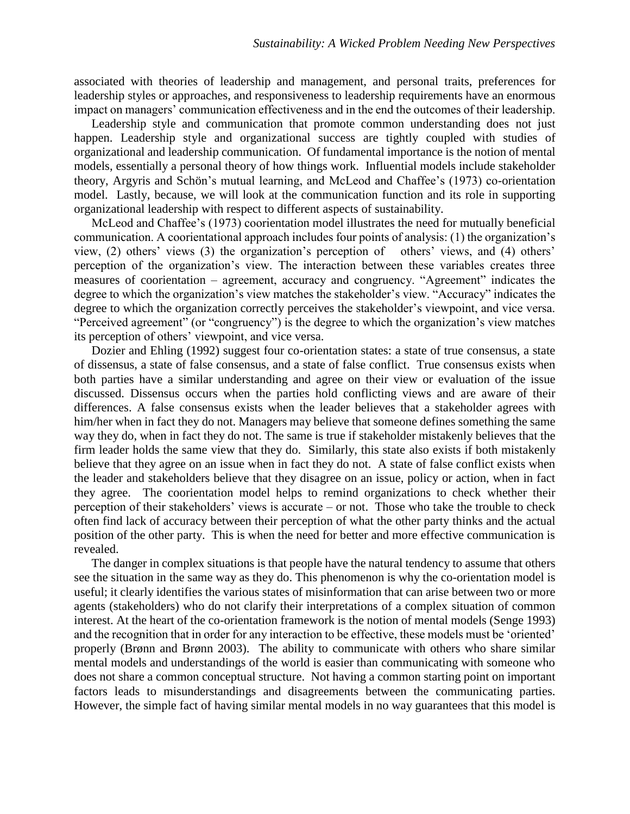associated with theories of leadership and management, and personal traits, preferences for leadership styles or approaches, and responsiveness to leadership requirements have an enormous impact on managers' communication effectiveness and in the end the outcomes of their leadership.

Leadership style and communication that promote common understanding does not just happen. Leadership style and organizational success are tightly coupled with studies of organizational and leadership communication. Of fundamental importance is the notion of mental models, essentially a personal theory of how things work. Influential models include stakeholder theory, Argyris and Schön's mutual learning, and McLeod and Chaffee's (1973) co-orientation model. Lastly, because, we will look at the communication function and its role in supporting organizational leadership with respect to different aspects of sustainability.

McLeod and Chaffee's (1973) coorientation model illustrates the need for mutually beneficial communication. A coorientational approach includes four points of analysis: (1) the organization's view, (2) others' views (3) the organization's perception of others' views, and (4) others' perception of the organization's view. The interaction between these variables creates three measures of coorientation – agreement, accuracy and congruency. "Agreement" indicates the degree to which the organization's view matches the stakeholder's view. "Accuracy" indicates the degree to which the organization correctly perceives the stakeholder's viewpoint, and vice versa. "Perceived agreement" (or "congruency") is the degree to which the organization's view matches its perception of others' viewpoint, and vice versa.

Dozier and Ehling (1992) suggest four co-orientation states: a state of true consensus, a state of dissensus, a state of false consensus, and a state of false conflict. True consensus exists when both parties have a similar understanding and agree on their view or evaluation of the issue discussed. Dissensus occurs when the parties hold conflicting views and are aware of their differences. A false consensus exists when the leader believes that a stakeholder agrees with him/her when in fact they do not. Managers may believe that someone defines something the same way they do, when in fact they do not. The same is true if stakeholder mistakenly believes that the firm leader holds the same view that they do. Similarly, this state also exists if both mistakenly believe that they agree on an issue when in fact they do not. A state of false conflict exists when the leader and stakeholders believe that they disagree on an issue, policy or action, when in fact they agree. The coorientation model helps to remind organizations to check whether their perception of their stakeholders' views is accurate – or not. Those who take the trouble to check often find lack of accuracy between their perception of what the other party thinks and the actual position of the other party. This is when the need for better and more effective communication is revealed.

The danger in complex situations is that people have the natural tendency to assume that others see the situation in the same way as they do. This phenomenon is why the co-orientation model is useful; it clearly identifies the various states of misinformation that can arise between two or more agents (stakeholders) who do not clarify their interpretations of a complex situation of common interest. At the heart of the co-orientation framework is the notion of mental models (Senge 1993) and the recognition that in order for any interaction to be effective, these models must be 'oriented' properly (Brønn and Brønn 2003). The ability to communicate with others who share similar mental models and understandings of the world is easier than communicating with someone who does not share a common conceptual structure. Not having a common starting point on important factors leads to misunderstandings and disagreements between the communicating parties. However, the simple fact of having similar mental models in no way guarantees that this model is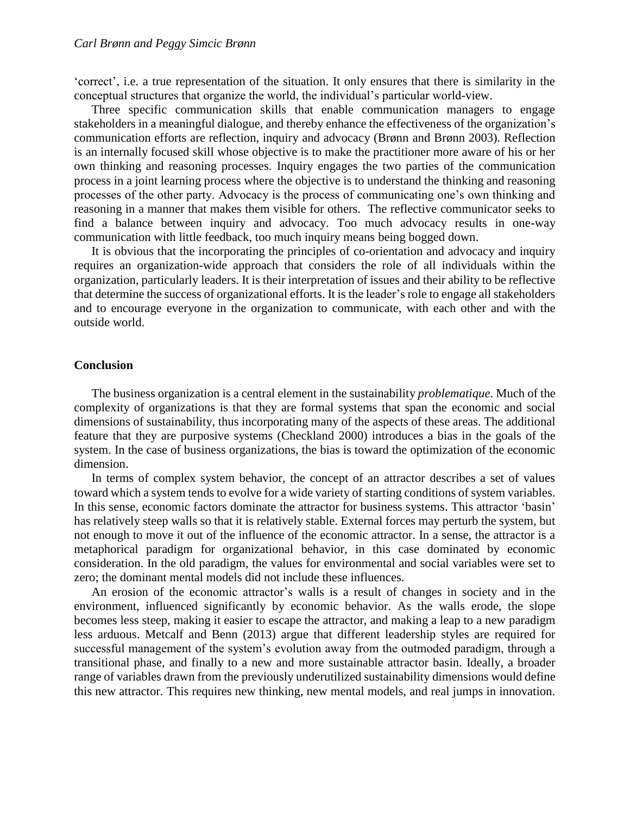'correct', i.e. a true representation of the situation. It only ensures that there is similarity in the conceptual structures that organize the world, the individual's particular world-view.

Three specific communication skills that enable communication managers to engage stakeholders in a meaningful dialogue, and thereby enhance the effectiveness of the organization's communication efforts are reflection, inquiry and advocacy (Brønn and Brønn 2003). Reflection is an internally focused skill whose objective is to make the practitioner more aware of his or her own thinking and reasoning processes. Inquiry engages the two parties of the communication process in a joint learning process where the objective is to understand the thinking and reasoning processes of the other party. Advocacy is the process of communicating one's own thinking and reasoning in a manner that makes them visible for others. The reflective communicator seeks to find a balance between inquiry and advocacy. Too much advocacy results in one-way communication with little feedback, too much inquiry means being bogged down.

It is obvious that the incorporating the principles of co-orientation and advocacy and inquiry requires an organization-wide approach that considers the role of all individuals within the organization, particularly leaders. It is their interpretation of issues and their ability to be reflective that determine the success of organizational efforts. It is the leader's role to engage all stakeholders and to encourage everyone in the organization to communicate, with each other and with the outside world.

#### **Conclusion**

The business organization is a central element in the sustainability *problematique*. Much of the complexity of organizations is that they are formal systems that span the economic and social dimensions of sustainability, thus incorporating many of the aspects of these areas. The additional feature that they are purposive systems (Checkland 2000) introduces a bias in the goals of the system. In the case of business organizations, the bias is toward the optimization of the economic dimension.

In terms of complex system behavior, the concept of an attractor describes a set of values toward which a system tends to evolve for a wide variety of starting conditions of system variables. In this sense, economic factors dominate the attractor for business systems. This attractor 'basin' has relatively steep walls so that it is relatively stable. External forces may perturb the system, but not enough to move it out of the influence of the economic attractor. In a sense, the attractor is a metaphorical paradigm for organizational behavior, in this case dominated by economic consideration. In the old paradigm, the values for environmental and social variables were set to zero; the dominant mental models did not include these influences.

An erosion of the economic attractor's walls is a result of changes in society and in the environment, influenced significantly by economic behavior. As the walls erode, the slope becomes less steep, making it easier to escape the attractor, and making a leap to a new paradigm less arduous. Metcalf and Benn (2013) argue that different leadership styles are required for successful management of the system's evolution away from the outmoded paradigm, through a transitional phase, and finally to a new and more sustainable attractor basin. Ideally, a broader range of variables drawn from the previously underutilized sustainability dimensions would define this new attractor. This requires new thinking, new mental models, and real jumps in innovation.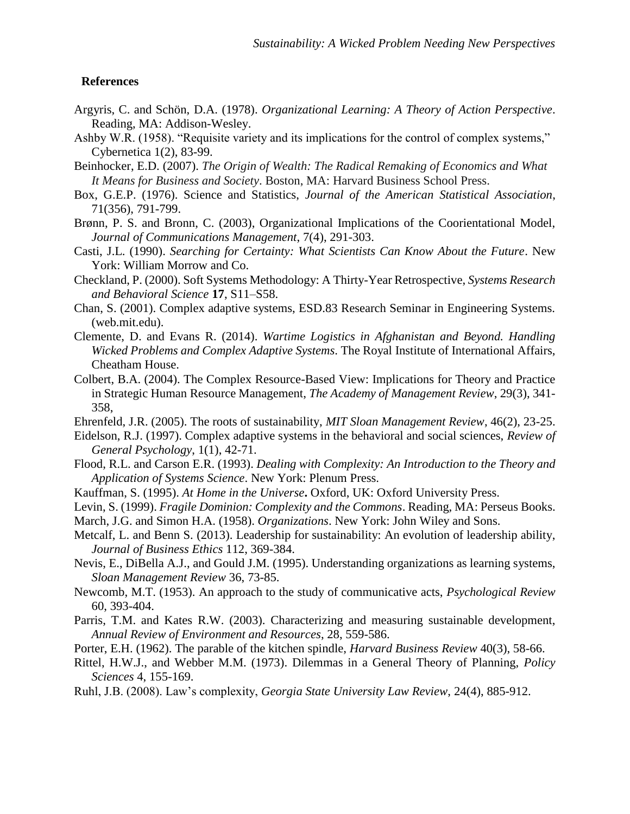## **References**

- Argyris, C. and Schön, D.A. (1978). *Organizational Learning: A Theory of Action Perspective*. Reading, MA: Addison-Wesley.
- Ashby W.R. (1958). "Requisite variety and its implications for the control of complex systems," Cybernetica 1(2), 83-99.
- Beinhocker, E.D. (2007). *The Origin of Wealth: The Radical Remaking of Economics and What It Means for Business and Society*. Boston, MA: Harvard Business School Press.
- Box, G.E.P. (1976). Science and Statistics, *Journal of the American Statistical Association*, 71(356), 791-799.
- Brønn, P. S. and Bronn, C. (2003), Organizational Implications of the Coorientational Model, *Journal of Communications Management*, 7(4), 291-303.
- Casti, J.L. (1990). *Searching for Certainty: What Scientists Can Know About the Future*. New York: William Morrow and Co.
- Checkland, P. (2000). Soft Systems Methodology: A Thirty-Year Retrospective, *Systems Research and Behavioral Science* **17**, S11–S58.
- Chan, S. (2001). Complex adaptive systems, ESD.83 Research Seminar in Engineering Systems. (web.mit.edu).
- Clemente, D. and Evans R. (2014). *Wartime Logistics in Afghanistan and Beyond. Handling Wicked Problems and Complex Adaptive Systems*. The Royal Institute of International Affairs, Cheatham House.
- Colbert, B.A. (2004). The Complex Resource-Based View: Implications for Theory and Practice in Strategic Human Resource Management, *The Academy of Management Review*, 29(3), 341- 358,
- Ehrenfeld, J.R. (2005). The roots of sustainability, *MIT Sloan Management Review*, 46(2), 23-25.
- Eidelson, R.J. (1997). Complex adaptive systems in the behavioral and social sciences, *Review of General Psychology*, 1(1), 42-71.
- Flood, R.L. and Carson E.R. (1993). *Dealing with Complexity: An Introduction to the Theory and Application of Systems Science*. New York: Plenum Press.
- Kauffman, S. (1995). *At Home in the Universe***.** Oxford, UK: Oxford University Press.
- Levin, S. (1999). *Fragile Dominion: Complexity and the Commons*. Reading, MA: Perseus Books.
- March, J.G. and Simon H.A. (1958). *Organizations*. New York: John Wiley and Sons.
- Metcalf, L. and Benn S. (2013). Leadership for sustainability: An evolution of leadership ability, *Journal of Business Ethics* 112, 369-384.
- Nevis, E., DiBella A.J., and Gould J.M. (1995). Understanding organizations as learning systems, *Sloan Management Review* 36, 73-85.
- Newcomb, M.T. (1953). An approach to the study of communicative acts, *Psychological Review* 60, 393-404.
- Parris, T.M. and Kates R.W. (2003). Characterizing and measuring sustainable development, *Annual Review of Environment and Resources*, 28, 559-586.
- Porter, E.H. (1962). The parable of the kitchen spindle, *Harvard Business Review* 40(3), 58-66.
- Rittel, H.W.J., and Webber M.M. (1973). Dilemmas in a General Theory of Planning, *Policy Sciences* 4, 155-169.
- Ruhl, J.B. (2008). Law's complexity, *Georgia State University Law Review*, 24(4), 885-912.